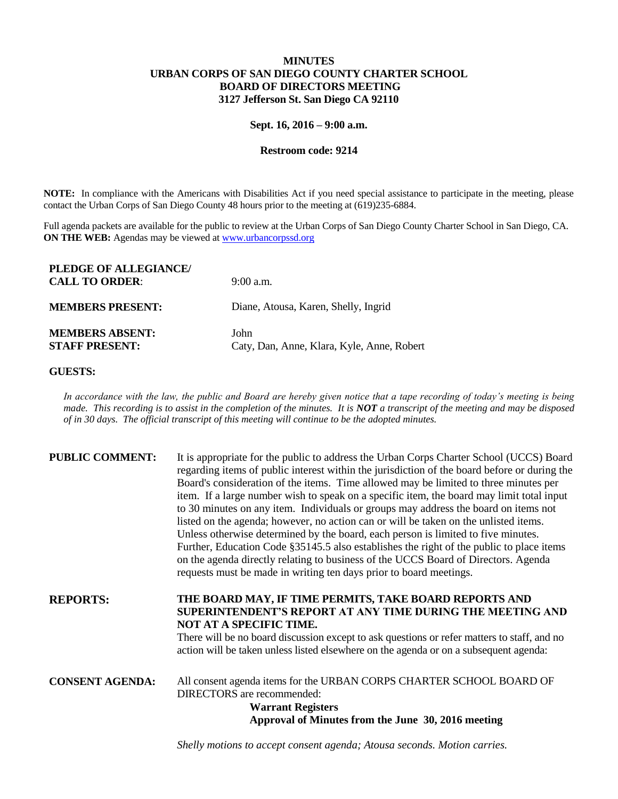## **MINUTES URBAN CORPS OF SAN DIEGO COUNTY CHARTER SCHOOL BOARD OF DIRECTORS MEETING 3127 Jefferson St. San Diego CA 92110**

## **Sept. 16, 2016 – 9:00 a.m.**

## **Restroom code: 9214**

**NOTE:** In compliance with the Americans with Disabilities Act if you need special assistance to participate in the meeting, please contact the Urban Corps of San Diego County 48 hours prior to the meeting at (619)235-6884.

Full agenda packets are available for the public to review at the Urban Corps of San Diego County Charter School in San Diego, CA. **ON THE WEB:** Agendas may be viewed at **www.urbancorpssd.org** 

| PLEDGE OF ALLEGIANCE/<br><b>CALL TO ORDER:</b>  | $9:00$ a.m.                                        |
|-------------------------------------------------|----------------------------------------------------|
| <b>MEMBERS PRESENT:</b>                         | Diane, Atousa, Karen, Shelly, Ingrid               |
| <b>MEMBERS ABSENT:</b><br><b>STAFF PRESENT:</b> | John<br>Caty, Dan, Anne, Klara, Kyle, Anne, Robert |

## **GUESTS:**

*In accordance with the law, the public and Board are hereby given notice that a tape recording of today's meeting is being made. This recording is to assist in the completion of the minutes. It is NOT a transcript of the meeting and may be disposed of in 30 days. The official transcript of this meeting will continue to be the adopted minutes.*

| <b>PUBLIC COMMENT:</b> | It is appropriate for the public to address the Urban Corps Charter School (UCCS) Board<br>regarding items of public interest within the jurisdiction of the board before or during the<br>Board's consideration of the items. Time allowed may be limited to three minutes per<br>item. If a large number wish to speak on a specific item, the board may limit total input<br>to 30 minutes on any item. Individuals or groups may address the board on items not<br>listed on the agenda; however, no action can or will be taken on the unlisted items.<br>Unless otherwise determined by the board, each person is limited to five minutes.<br>Further, Education Code §35145.5 also establishes the right of the public to place items<br>on the agenda directly relating to business of the UCCS Board of Directors. Agenda<br>requests must be made in writing ten days prior to board meetings. |
|------------------------|----------------------------------------------------------------------------------------------------------------------------------------------------------------------------------------------------------------------------------------------------------------------------------------------------------------------------------------------------------------------------------------------------------------------------------------------------------------------------------------------------------------------------------------------------------------------------------------------------------------------------------------------------------------------------------------------------------------------------------------------------------------------------------------------------------------------------------------------------------------------------------------------------------|
| <b>REPORTS:</b>        | THE BOARD MAY, IF TIME PERMITS, TAKE BOARD REPORTS AND<br>SUPERINTENDENT'S REPORT AT ANY TIME DURING THE MEETING AND<br><b>NOT AT A SPECIFIC TIME.</b><br>There will be no board discussion except to ask questions or refer matters to staff, and no<br>action will be taken unless listed elsewhere on the agenda or on a subsequent agenda:                                                                                                                                                                                                                                                                                                                                                                                                                                                                                                                                                           |
| <b>CONSENT AGENDA:</b> | All consent agenda items for the URBAN CORPS CHARTER SCHOOL BOARD OF<br><b>DIRECTORS</b> are recommended:<br><b>Warrant Registers</b><br>Approval of Minutes from the June 30, 2016 meeting                                                                                                                                                                                                                                                                                                                                                                                                                                                                                                                                                                                                                                                                                                              |

*Shelly motions to accept consent agenda; Atousa seconds. Motion carries.*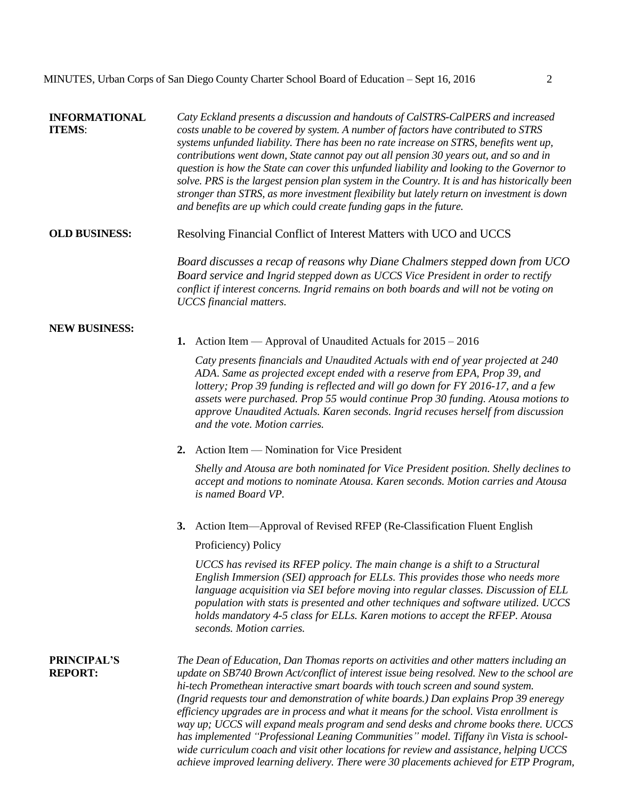| <b>INFORMATIONAL</b><br><b>ITEMS:</b> | Caty Eckland presents a discussion and handouts of CalSTRS-CalPERS and increased<br>costs unable to be covered by system. A number of factors have contributed to STRS<br>systems unfunded liability. There has been no rate increase on STRS, benefits went up,<br>contributions went down, State cannot pay out all pension 30 years out, and so and in<br>question is how the State can cover this unfunded liability and looking to the Governor to<br>solve. PRS is the largest pension plan system in the Country. It is and has historically been<br>stronger than STRS, as more investment flexibility but lately return on investment is down<br>and benefits are up which could create funding gaps in the future.             |
|---------------------------------------|------------------------------------------------------------------------------------------------------------------------------------------------------------------------------------------------------------------------------------------------------------------------------------------------------------------------------------------------------------------------------------------------------------------------------------------------------------------------------------------------------------------------------------------------------------------------------------------------------------------------------------------------------------------------------------------------------------------------------------------|
| <b>OLD BUSINESS:</b>                  | Resolving Financial Conflict of Interest Matters with UCO and UCCS                                                                                                                                                                                                                                                                                                                                                                                                                                                                                                                                                                                                                                                                       |
|                                       | Board discusses a recap of reasons why Diane Chalmers stepped down from UCO<br>Board service and Ingrid stepped down as UCCS Vice President in order to rectify<br>conflict if interest concerns. Ingrid remains on both boards and will not be voting on<br><b>UCCS</b> financial matters.                                                                                                                                                                                                                                                                                                                                                                                                                                              |
| <b>NEW BUSINESS:</b>                  | 1. Action Item — Approval of Unaudited Actuals for $2015 - 2016$                                                                                                                                                                                                                                                                                                                                                                                                                                                                                                                                                                                                                                                                         |
|                                       | Caty presents financials and Unaudited Actuals with end of year projected at 240<br>ADA. Same as projected except ended with a reserve from EPA, Prop 39, and<br>lottery; Prop 39 funding is reflected and will go down for FY 2016-17, and a few<br>assets were purchased. Prop 55 would continue Prop 30 funding. Atousa motions to<br>approve Unaudited Actuals. Karen seconds. Ingrid recuses herself from discussion<br>and the vote. Motion carries.                                                                                                                                                                                                                                                                               |
|                                       | 2. Action Item — Nomination for Vice President                                                                                                                                                                                                                                                                                                                                                                                                                                                                                                                                                                                                                                                                                           |
|                                       | Shelly and Atousa are both nominated for Vice President position. Shelly declines to<br>accept and motions to nominate Atousa. Karen seconds. Motion carries and Atousa<br>is named Board VP.                                                                                                                                                                                                                                                                                                                                                                                                                                                                                                                                            |
|                                       | 3. Action Item—Approval of Revised RFEP (Re-Classification Fluent English<br>Proficiency) Policy                                                                                                                                                                                                                                                                                                                                                                                                                                                                                                                                                                                                                                         |
|                                       | UCCS has revised its RFEP policy. The main change is a shift to a Structural<br>English Immersion (SEI) approach for ELLs. This provides those who needs more<br>language acquisition via SEI before moving into regular classes. Discussion of ELL<br>population with stats is presented and other techniques and software utilized. UCCS<br>holds mandatory 4-5 class for ELLs. Karen motions to accept the RFEP. Atousa<br>seconds. Motion carries.                                                                                                                                                                                                                                                                                   |
| <b>PRINCIPAL'S</b><br><b>REPORT:</b>  | The Dean of Education, Dan Thomas reports on activities and other matters including an<br>update on SB740 Brown Act/conflict of interest issue being resolved. New to the school are<br>hi-tech Promethean interactive smart boards with touch screen and sound system.<br>(Ingrid requests tour and demonstration of white boards.) Dan explains Prop 39 eneregy<br>efficiency upgrades are in process and what it means for the school. Vista enrollment is<br>way up; UCCS will expand meals program and send desks and chrome books there. UCCS<br>has implemented "Professional Leaning Communities" model. Tiffany i\n Vista is school-<br>wide curriculum coach and visit other locations for review and assistance, helping UCCS |

*achieve improved learning delivery. There were 30 placements achieved for ETP Program,*